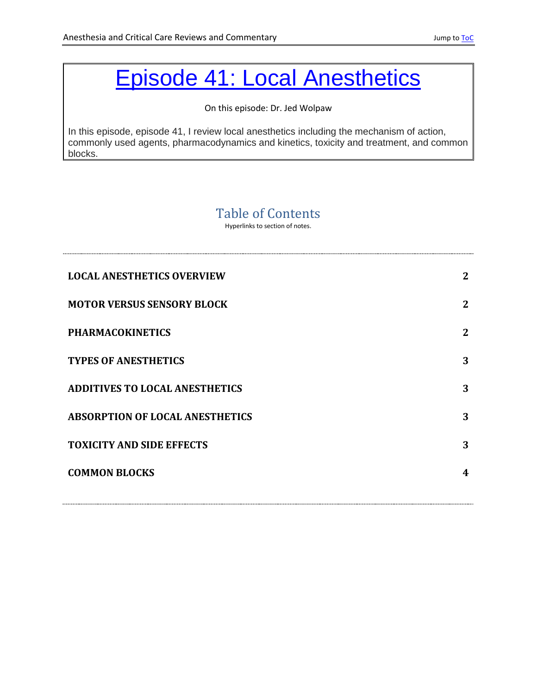# <span id="page-0-0"></span>[Episode 41: Local Anesthetics](http://accrac.com/episode-41-local-anesthetics/)

On this episode: Dr. Jed Wolpaw

In this episode, episode 41, I review local anesthetics including the mechanism of action, commonly used agents, pharmacodynamics and kinetics, toxicity and treatment, and common blocks.

# Table of Contents

Hyperlinks to section of notes.

| <b>LOCAL ANESTHETICS OVERVIEW</b>      | $\mathbf 2$    |
|----------------------------------------|----------------|
| <b>MOTOR VERSUS SENSORY BLOCK</b>      | $\overline{2}$ |
| <b>PHARMACOKINETICS</b>                | $\overline{2}$ |
| <b>TYPES OF ANESTHETICS</b>            | 3              |
| <b>ADDITIVES TO LOCAL ANESTHETICS</b>  | 3              |
| <b>ABSORPTION OF LOCAL ANESTHETICS</b> | 3              |
| <b>TOXICITY AND SIDE EFFECTS</b>       | 3              |
| <b>COMMON BLOCKS</b>                   | 4              |
|                                        |                |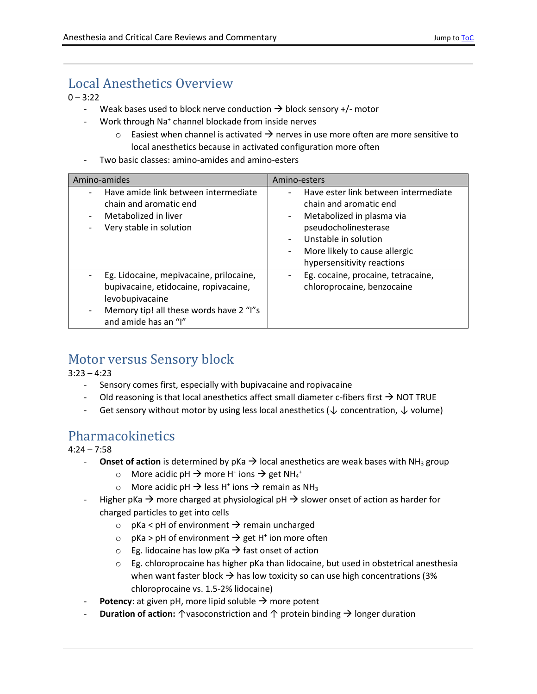# <span id="page-1-0"></span>Local Anesthetics Overview

 $0 - 3:22$ 

- Weak bases used to block nerve conduction  $\rightarrow$  block sensory +/- motor
- Work through Na<sup>+</sup> channel blockade from inside nerves
	- $\circ$  Easiest when channel is activated  $\rightarrow$  nerves in use more often are more sensitive to local anesthetics because in activated configuration more often
- Two basic classes: amino-amides and amino-esters

| Amino-amides                                                                                                                                                           | Amino-esters                                                                                                                                                                                                                                                                                                                   |  |  |
|------------------------------------------------------------------------------------------------------------------------------------------------------------------------|--------------------------------------------------------------------------------------------------------------------------------------------------------------------------------------------------------------------------------------------------------------------------------------------------------------------------------|--|--|
| Have amide link between intermediate<br>chain and aromatic end<br>Metabolized in liver<br>Very stable in solution                                                      | Have ester link between intermediate<br>$\qquad \qquad \blacksquare$<br>chain and aromatic end<br>Metabolized in plasma via<br>$\overline{\phantom{a}}$<br>pseudocholinesterase<br>Unstable in solution<br>$\overline{\phantom{a}}$<br>More likely to cause allergic<br>$\overline{\phantom{a}}$<br>hypersensitivity reactions |  |  |
| Eg. Lidocaine, mepivacaine, prilocaine,<br>bupivacaine, etidocaine, ropivacaine,<br>levobupivacaine<br>Memory tip! all these words have 2 "I"s<br>and amide has an "I" | Eg. cocaine, procaine, tetracaine,<br>-<br>chloroprocaine, benzocaine                                                                                                                                                                                                                                                          |  |  |

## <span id="page-1-1"></span>Motor versus Sensory block

 $3:23 - 4:23$ 

- Sensory comes first, especially with bupivacaine and ropivacaine
- Old reasoning is that local anesthetics affect small diameter c-fibers first  $\rightarrow$  NOT TRUE
- Get sensory without motor by using less local anesthetics ( $\downarrow$  concentration,  $\downarrow$  volume)

## <span id="page-1-2"></span>Pharmacokinetics

 $4:24 - 7:58$ 

- **Onset of action** is determined by  $pKa \rightarrow local$  anesthetics are weak bases with  $NH<sub>3</sub>$  group
	- $\circ$  More acidic pH  $\rightarrow$  more H<sup>+</sup> ions  $\rightarrow$  get NH<sub>4</sub><sup>+</sup>
	- $\circ$  More acidic pH  $\rightarrow$  less H<sup>+</sup> ions  $\rightarrow$  remain as NH<sub>3</sub>
- Higher pKa  $\rightarrow$  more charged at physiological pH  $\rightarrow$  slower onset of action as harder for charged particles to get into cells
	- $\circ$  pKa < pH of environment  $\rightarrow$  remain uncharged
	- $\circ$  pKa > pH of environment  $\rightarrow$  get H<sup>+</sup> ion more often
	- $\circ$  Eg. lidocaine has low pKa  $\rightarrow$  fast onset of action
	- o Eg. chloroprocaine has higher pKa than lidocaine, but used in obstetrical anesthesia when want faster block  $\rightarrow$  has low toxicity so can use high concentrations (3%) chloroprocaine vs. 1.5-2% lidocaine)
- **Potency**: at given pH, more lipid soluble  $\rightarrow$  more potent
- **Duration of action:** ↑vasoconstriction and ↑ protein binding  $\rightarrow$  longer duration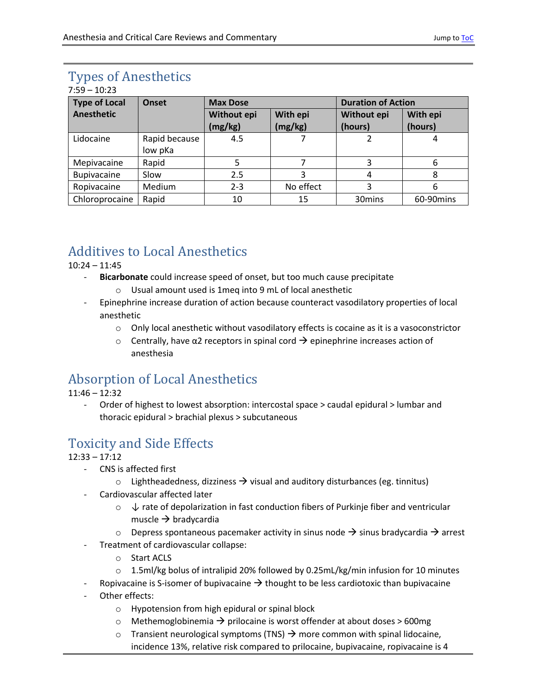# <span id="page-2-0"></span>Types of Anesthetics

| $7:59 - 10:23$       |               |                 |           |                           |            |  |  |  |
|----------------------|---------------|-----------------|-----------|---------------------------|------------|--|--|--|
| <b>Type of Local</b> | Onset         | <b>Max Dose</b> |           | <b>Duration of Action</b> |            |  |  |  |
| <b>Anesthetic</b>    |               | Without epi     | With epi  | Without epi               | With epi   |  |  |  |
|                      |               | (mg/kg)         | (mg/kg)   | (hours)                   | (hours)    |  |  |  |
| Lidocaine            | Rapid because | 4.5             |           |                           | 4          |  |  |  |
|                      | low pKa       |                 |           |                           |            |  |  |  |
| Mepivacaine          | Rapid         | 5               |           | 3                         | 6          |  |  |  |
| Bupivacaine          | Slow          | 2.5             | 3         | 4                         | 8          |  |  |  |
| Ropivacaine          | Medium        | $2 - 3$         | No effect | 3                         | 6          |  |  |  |
| Chloroprocaine       | Rapid         | 10              | 15        | 30mins                    | 60-90 mins |  |  |  |

# <span id="page-2-1"></span>Additives to Local Anesthetics

10:24 – 11:45

- **Bicarbonate** could increase speed of onset, but too much cause precipitate
	- o Usual amount used is 1meq into 9 mL of local anesthetic
- Epinephrine increase duration of action because counteract vasodilatory properties of local anesthetic
	- o Only local anesthetic without vasodilatory effects is cocaine as it is a vasoconstrictor
	- $\circ$  Centrally, have α2 receptors in spinal cord  $\rightarrow$  epinephrine increases action of anesthesia

# <span id="page-2-2"></span>Absorption of Local Anesthetics

- 11:46 12:32
	- Order of highest to lowest absorption: intercostal space > caudal epidural > lumbar and thoracic epidural > brachial plexus > subcutaneous

# <span id="page-2-3"></span>Toxicity and Side Effects

### 12:33 – 17:12

- CNS is affected first
	- $\circ$  Lightheadedness, dizziness  $\rightarrow$  visual and auditory disturbances (eg. tinnitus)
- Cardiovascular affected later
	- $\circ \downarrow$  rate of depolarization in fast conduction fibers of Purkinje fiber and ventricular muscle  $\rightarrow$  bradycardia
	- $\circ$  Depress spontaneous pacemaker activity in sinus node  $\rightarrow$  sinus bradycardia  $\rightarrow$  arrest
	- Treatment of cardiovascular collapse:
		- o Start ACLS
		- o 1.5ml/kg bolus of intralipid 20% followed by 0.25mL/kg/min infusion for 10 minutes
- Ropivacaine is S-isomer of bupivacaine  $\rightarrow$  thought to be less cardiotoxic than bupivacaine
- Other effects:
	- o Hypotension from high epidural or spinal block
	- $\circ$  Methemoglobinemia  $\rightarrow$  prilocaine is worst offender at about doses > 600mg
	- $\circ$  Transient neurological symptoms (TNS)  $\rightarrow$  more common with spinal lidocaine, incidence 13%, relative risk compared to prilocaine, bupivacaine, ropivacaine is 4